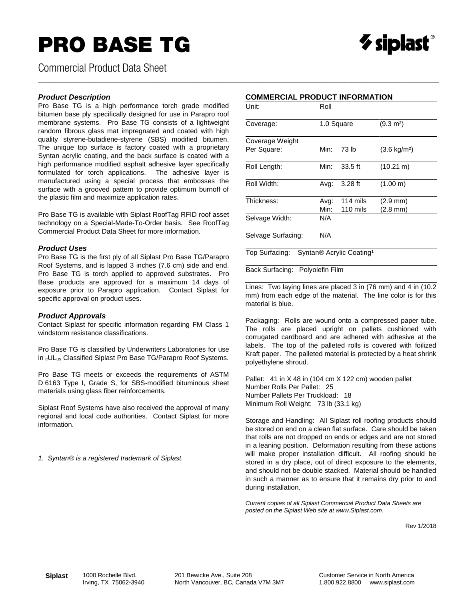## PRO BASE TG



Commercial Product Data Sheet

#### *Product Description*

Pro Base TG is a high performance torch grade modified bitumen base ply specifically designed for use in Parapro roof membrane systems. Pro Base TG consists of a lightweight random fibrous glass mat impregnated and coated with high quality styrene-butadiene-styrene (SBS) modified bitumen. The unique top surface is factory coated with a proprietary Syntan acrylic coating, and the back surface is coated with a high performance modified asphalt adhesive layer specifically formulated for torch applications. The adhesive layer is manufactured using a special process that embosses the surface with a grooved pattern to provide optimum burnoff of the plastic film and maximize application rates.

Pro Base TG is available with Siplast RoofTag RFID roof asset technology on a Special-Made-To-Order basis. See RoofTag Commercial Product Data Sheet for more information.

#### *Product Uses*

Pro Base TG is the first ply of all Siplast Pro Base TG/Parapro Roof Systems, and is lapped 3 inches (7.6 cm) side and end. Pro Base TG is torch applied to approved substrates. Pro Base products are approved for a maximum 14 days of exposure prior to Parapro application. Contact Siplast for specific approval on product uses.

#### *Product Approvals*

Contact Siplast for specific information regarding FM Class 1 windstorm resistance classifications.

Pro Base TG is classified by Underwriters Laboratories for use in cULus Classified Siplast Pro Base TG/Parapro Roof Systems.

Pro Base TG meets or exceeds the requirements of ASTM D 6163 Type I, Grade S, for SBS-modified bituminous sheet materials using glass fiber reinforcements.

Siplast Roof Systems have also received the approval of many regional and local code authorities. Contact Siplast for more information.

*1. Syntan® is a registered trademark of Siplast.*

### **COMMERCIAL PRODUCT INFORMATION**

\_\_\_\_\_\_\_\_\_\_\_\_\_\_\_\_\_\_\_\_\_\_\_\_\_\_\_\_\_\_\_\_\_\_\_\_\_\_\_\_\_\_\_\_\_\_\_\_\_\_\_\_\_\_\_\_\_\_\_\_\_\_\_\_\_\_\_\_\_\_\_\_\_\_\_\_\_\_\_\_\_\_\_\_\_\_\_\_\_\_\_\_\_\_\_\_\_\_\_\_\_\_\_\_\_

| Unit:                          | Roll         |                      |                                |  |  |
|--------------------------------|--------------|----------------------|--------------------------------|--|--|
| Coverage:                      | 1.0 Square   |                      | $(9.3 \text{ m}^2)$            |  |  |
| Coverage Weight<br>Per Square: | Min:         | 73 lb                | $(3.6 \text{ kg/m}^2)$         |  |  |
| Roll Length:                   | Min:         | $33.5$ ft            | $(10.21 \text{ m})$            |  |  |
| Roll Width:                    | Avg:         | $3.28$ ft            | (1.00 m)                       |  |  |
| Thickness:                     | Avg:<br>Min: | 114 mils<br>110 mils | $(2.9 \text{ mm})$<br>(2.8 mm) |  |  |
| Selvage Width:                 | N/A          |                      |                                |  |  |
| Selvage Surfacing:             | N/A          |                      |                                |  |  |

Top Surfacing: Syntan® Acrylic Coating<sup>1</sup>

Back Surfacing: Polyolefin Film

Lines: Two laying lines are placed 3 in (76 mm) and 4 in (10.2 mm) from each edge of the material. The line color is for this material is blue.

Packaging: Rolls are wound onto a compressed paper tube. The rolls are placed upright on pallets cushioned with corrugated cardboard and are adhered with adhesive at the labels. The top of the palleted rolls is covered with foilized Kraft paper. The palleted material is protected by a heat shrink polyethylene shroud.

Pallet: 41 in X 48 in (104 cm X 122 cm) wooden pallet Number Rolls Per Pallet: 25 Number Pallets Per Truckload: 18 Minimum Roll Weight: 73 lb (33.1 kg)

Storage and Handling: All Siplast roll roofing products should be stored on end on a clean flat surface. Care should be taken that rolls are not dropped on ends or edges and are not stored in a leaning position. Deformation resulting from these actions will make proper installation difficult. All roofing should be stored in a dry place, out of direct exposure to the elements, and should not be double stacked. Material should be handled in such a manner as to ensure that it remains dry prior to and during installation.

*Current copies of all Siplast Commercial Product Data Sheets are posted on the Siplast Web site at www.Siplast.com.*

Rev 1/2018